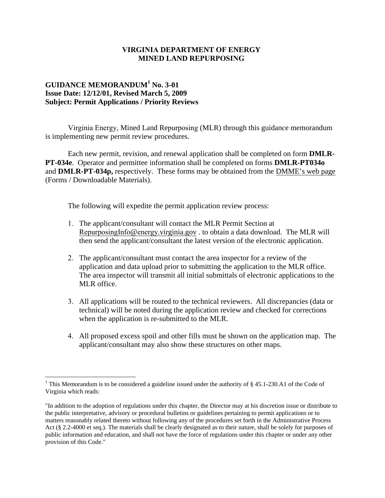## **VIRGINIA DEPARTMENT OF ENERGY MINED LAND REPURPOSING**

## **GUIDANCE MEMORANDUM<sup>1</sup> No. 3-01 Issue Date: 12/12/01, Revised March 5, 2009 Subject: Permit Applications / Priority Reviews**

Virginia Energy, Mined Land Repurposing (MLR) through this guidance memorandum is implementing new permit review procedures.

Each new permit, revision, and renewal application shall be completed on form **DMLR-PT-034e**. Operator and permittee information shall be completed on forms **DMLR-PT034o** and **DMLR-PT-034p,** respectively. These forms may be obtained from the DMME's web page (Forms / Downloadable Materials).

The following will expedite the permit application review process:

- 1. The applicant/consultant will contact the MLR Permit Section at RepurposingInfo@energy.virginia.gov . to obtain a data download. The MLR will then send the applicant/consultant the latest version of the electronic application.
- 2. The applicant/consultant must contact the area inspector for a review of the application and data upload prior to submitting the application to the MLR office. The area inspector will transmit all initial submittals of electronic applications to the MLR office.
- 3. All applications will be routed to the technical reviewers. All discrepancies (data or technical) will be noted during the application review and checked for corrections when the application is re-submitted to the MLR.
- 4. All proposed excess spoil and other fills must be shown on the application map. The applicant/consultant may also show these structures on other maps.

<sup>&</sup>lt;sup>1</sup> This Memorandum is to be considered a guideline issued under the authority of § 45.1-230.A1 of the Code of Virginia which reads:

<sup>&</sup>quot;In addition to the adoption of regulations under this chapter, the Director may at his discretion issue or distribute to the public interpretative, advisory or procedural bulletins or guidelines pertaining to permit applications or to matters reasonably related thereto without following any of the procedures set forth in the Administrative Process Act (§ 2.2-4000 et seq.). The materials shall be clearly designated as to their nature, shall be solely for purposes of public information and education, and shall not have the force of regulations under this chapter or under any other provision of this Code."